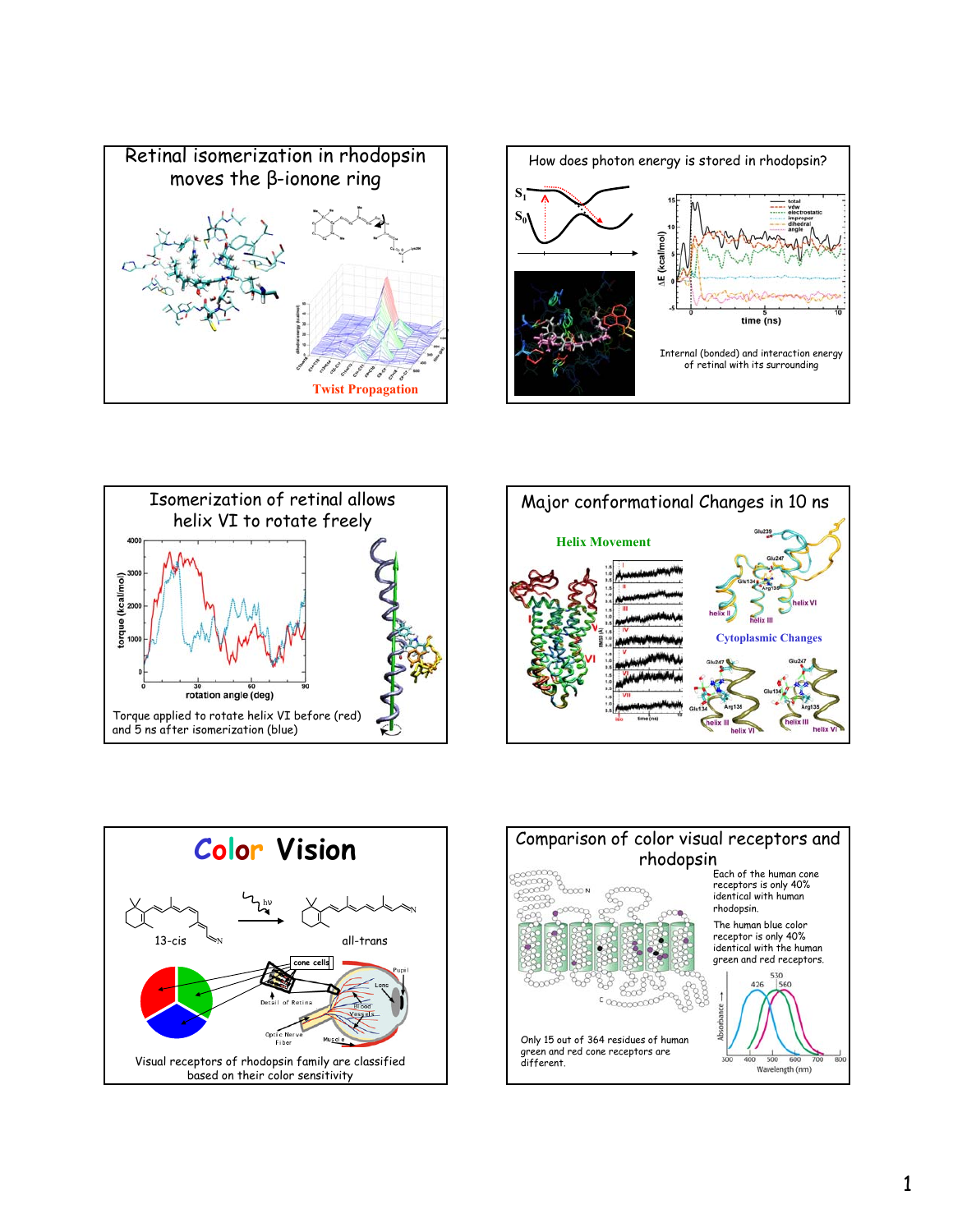









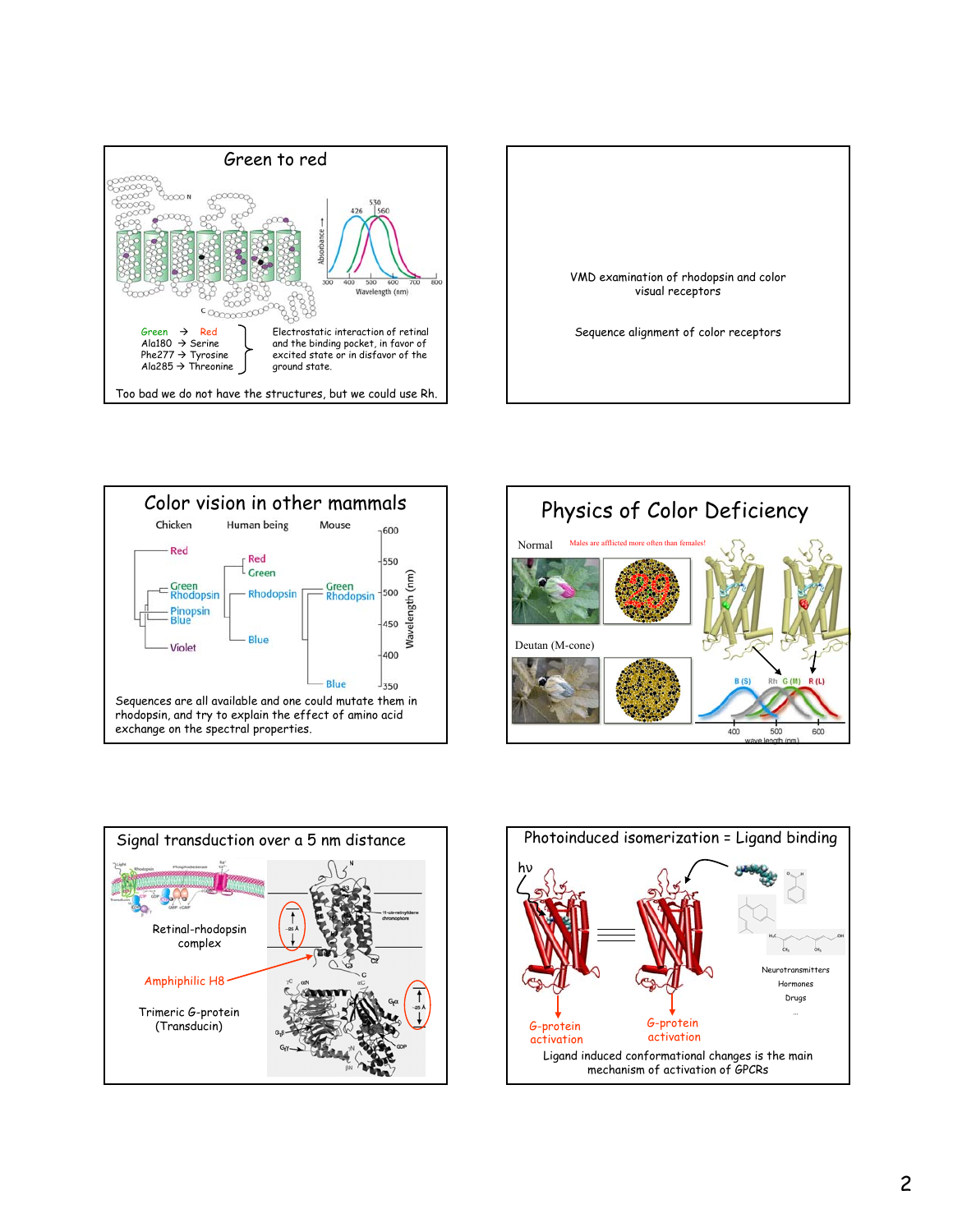









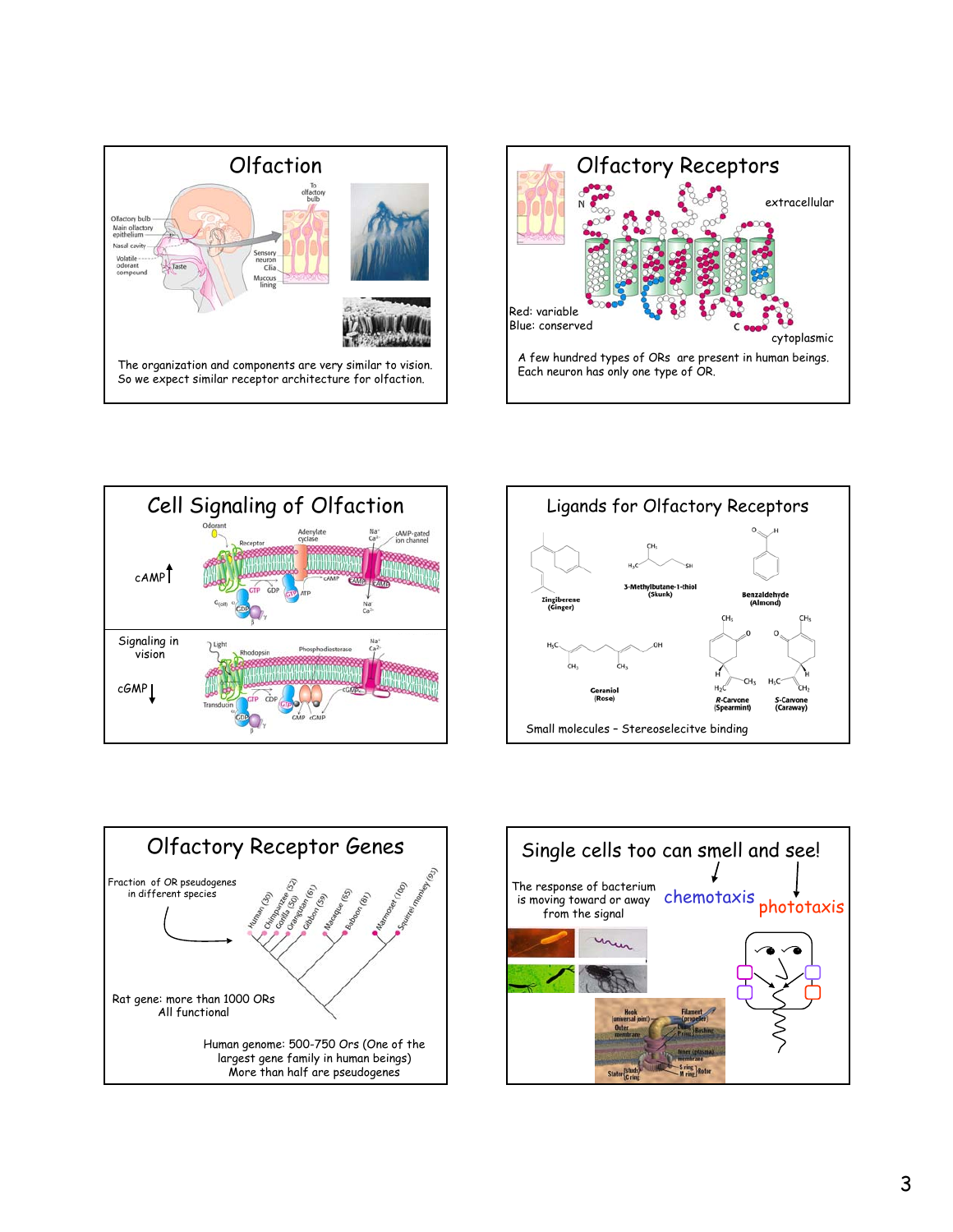









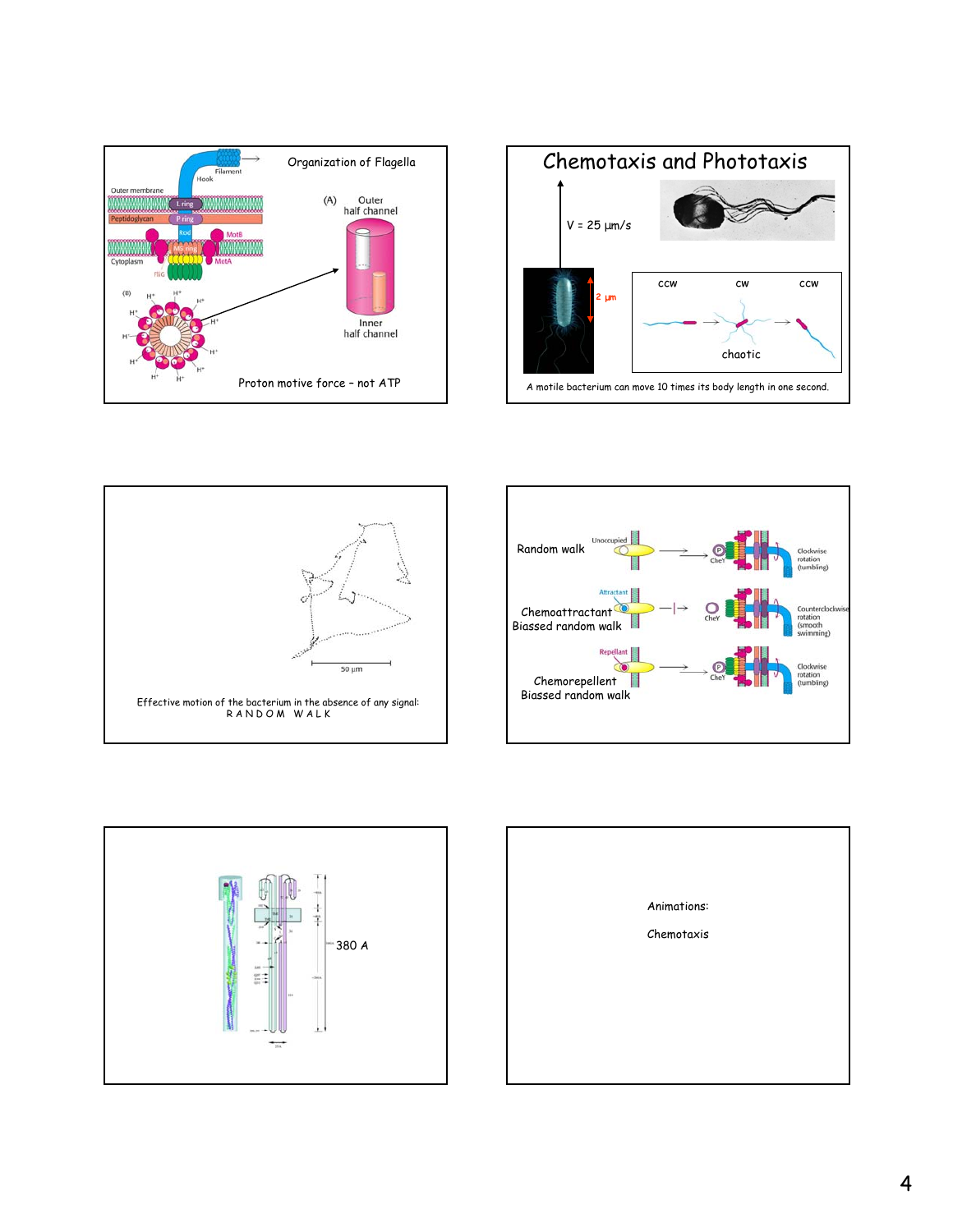









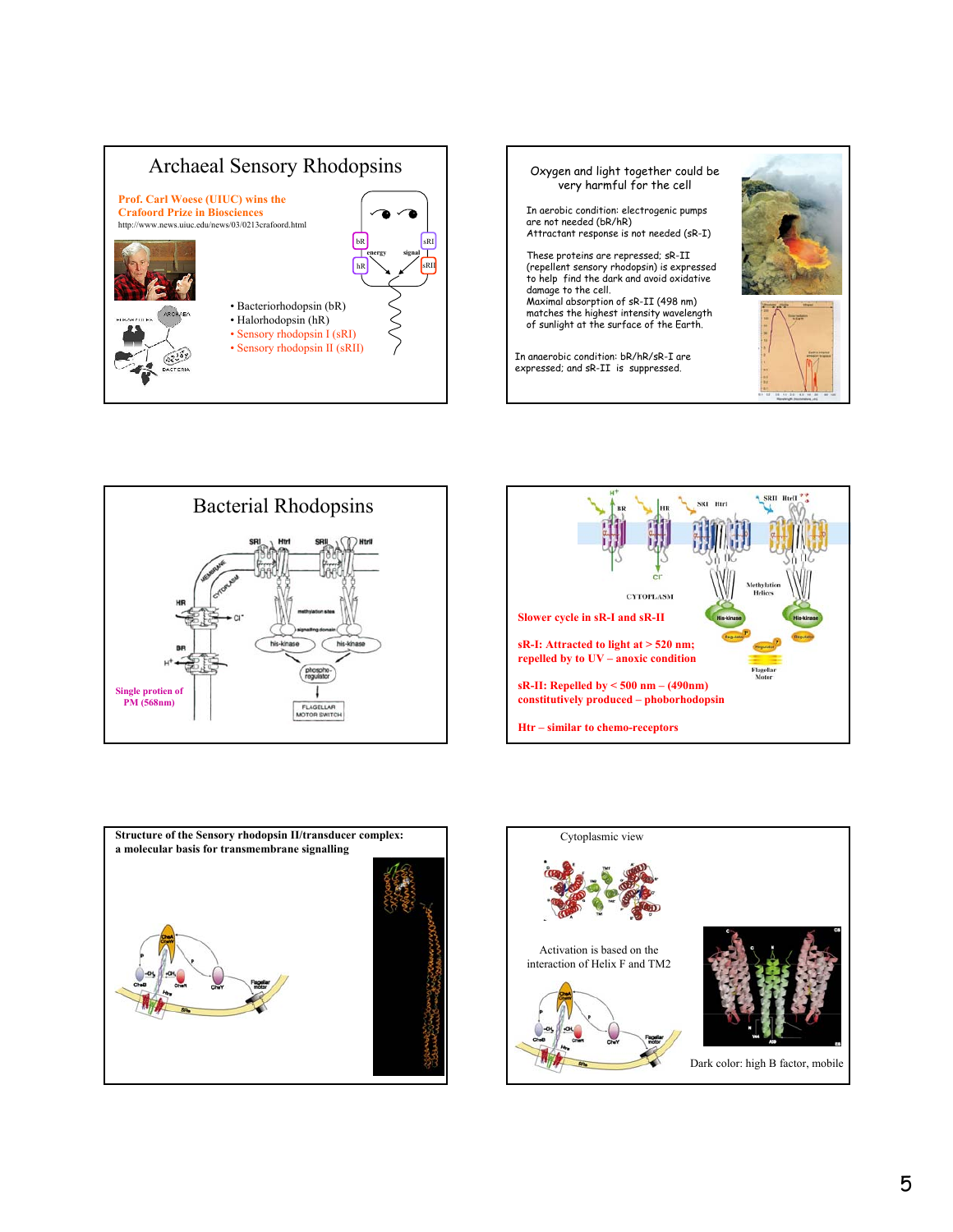









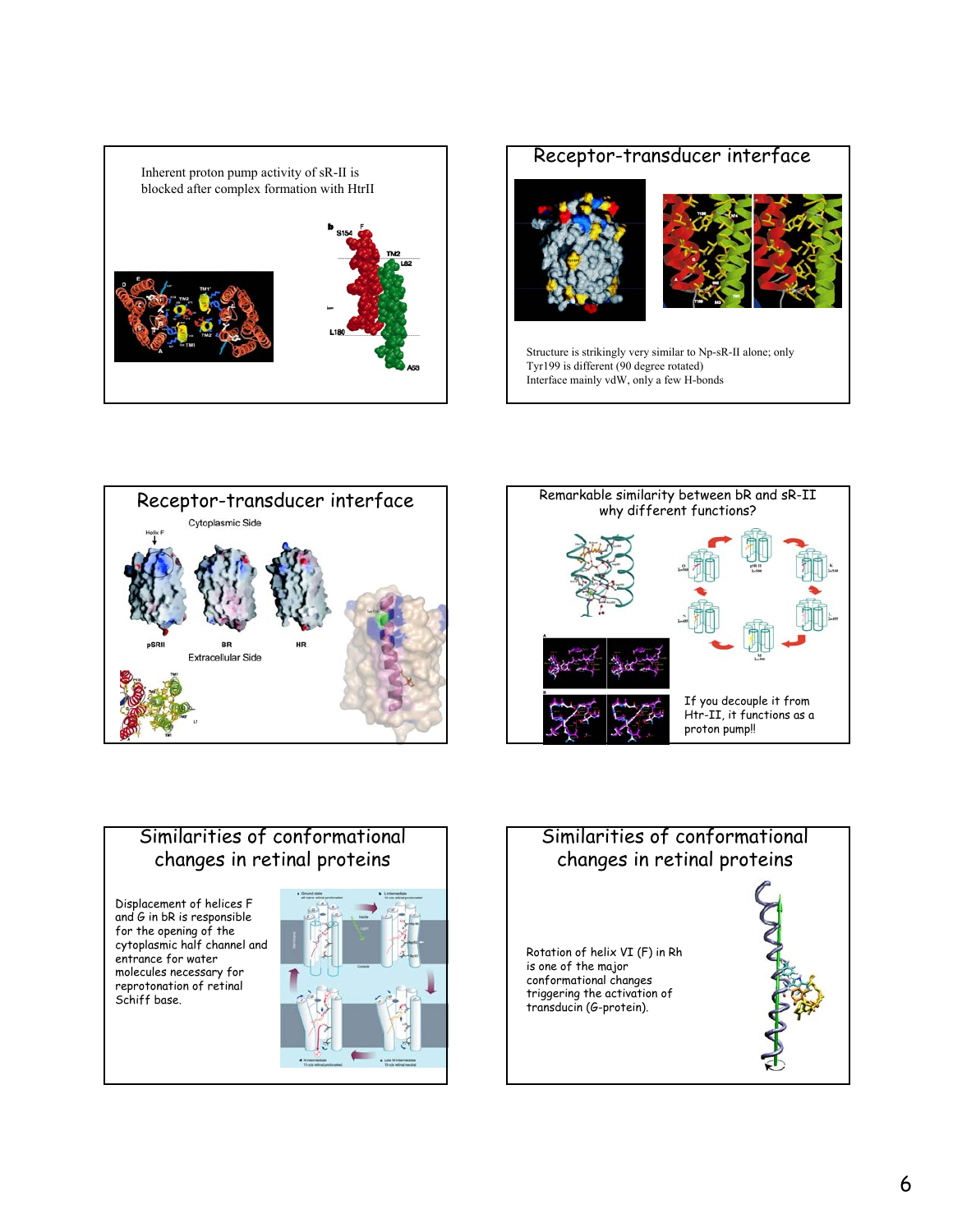

# Receptor-transducer interface





Structure is strikingly very similar to Np-sR-II alone; only Tyr199 is different (90 degree rotated) Interface mainly vdW, only a few H-bonds





### Similarities of conformational changes in retinal proteins

Displacement of helices F and G in bR is responsible for the opening of the cytoplasmic half channel and entrance for water molecules necessary for reprotonation of retinal Schiff base.

# Similarities of conformational changes in retinal proteins Rotation of helix VI (F) in Rh is one of the major conformational changes triggering the activation of transducin (G-protein).